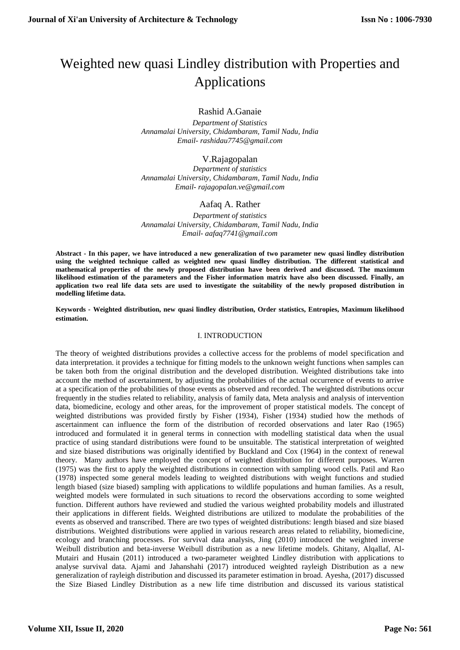# Weighted new quasi Lindley distribution with Properties and Applications

Rashid A.Ganaie

*Department of Statistics Annamalai University, Chidambaram, Tamil Nadu, India Email- rashidau7745@gmail.com*

# V.Rajagopalan

*Department of statistics Annamalai University, Chidambaram, Tamil Nadu, India Email- rajagopalan.ve@gmail.com*

# Aafaq A. Rather

*Department of statistics Annamalai University, Chidambaram, Tamil Nadu, India Email- aafaq7741@gmail.com*

**Abstract - In this paper, we have introduced a new generalization of two parameter new quasi lindley distribution using the weighted technique called as weighted new quasi lindley distribution. The different statistical and mathematical properties of the newly proposed distribution have been derived and discussed. The maximum likelihood estimation of the parameters and the Fisher information matrix have also been discussed. Finally, an application two real life data sets are used to investigate the suitability of the newly proposed distribution in modelling lifetime data.**

**Keywords - Weighted distribution, new quasi lindley distribution, Order statistics, Entropies, Maximum likelihood estimation.**

## I. INTRODUCTION

The theory of weighted distributions provides a collective access for the problems of model specification and data interpretation. it provides a technique for fitting models to the unknown weight functions when samples can be taken both from the original distribution and the developed distribution. Weighted distributions take into account the method of ascertainment, by adjusting the probabilities of the actual occurrence of events to arrive at a specification of the probabilities of those events as observed and recorded. The weighted distributions occur frequently in the studies related to reliability, analysis of family data, Meta analysis and analysis of intervention data, biomedicine, ecology and other areas, for the improvement of proper statistical models. The concept of weighted distributions was provided firstly by Fisher (1934), Fisher (1934) studied how the methods of ascertainment can influence the form of the distribution of recorded observations and later Rao (1965) introduced and formulated it in general terms in connection with modelling statistical data when the usual practice of using standard distributions were found to be unsuitable. The statistical interpretation of weighted and size biased distributions was originally identified by Buckland and Cox (1964) in the context of renewal theory. Many authors have employed the concept of weighted distribution for different purposes. Warren (1975) was the first to apply the weighted distributions in connection with sampling wood cells. Patil and Rao (1978) inspected some general models leading to weighted distributions with weight functions and studied length biased (size biased) sampling with applications to wildlife populations and human families. As a result, weighted models were formulated in such situations to record the observations according to some weighted function. Different authors have reviewed and studied the various weighted probability models and illustrated their applications in different fields. Weighted distributions are utilized to modulate the probabilities of the events as observed and transcribed. There are two types of weighted distributions: length biased and size biased distributions. Weighted distributions were applied in various research areas related to reliability, biomedicine, ecology and branching processes. For survival data analysis, Jing (2010) introduced the weighted inverse Weibull distribution and beta-inverse Weibull distribution as a new lifetime models. Ghitany, Alqallaf, Al-Mutairi and Husain (2011) introduced a two-parameter weighted Lindley distribution with applications to analyse survival data. Ajami and Jahanshahi (2017) introduced weighted rayleigh Distribution as a new generalization of rayleigh distribution and discussed its parameter estimation in broad. Ayesha, (2017) discussed the Size Biased Lindley Distribution as a new life time distribution and discussed its various statistical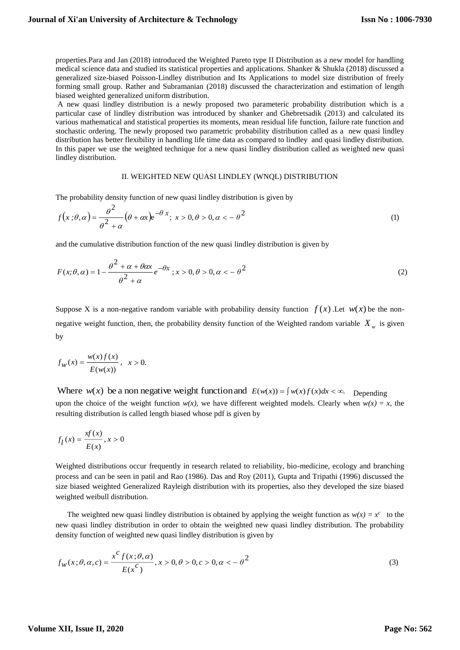properties.Para and Jan (2018) introduced the Weighted Pareto type II Distribution as a new model for handling medical science data and studied its statistical properties and applications. Shanker & Shukla (2018) discussed a generalized size-biased Poisson-Lindley distribution and Its Applications to model size distribution of freely forming small group. Rather and Subramanian (2018) discussed the characterization and estimation of length biased weighted generalized uniform distribution.

A new quasi lindley distribution is a newly proposed two parameteric probability distribution which is a particular case of lindley distribution was introduced by shanker and Ghebretsadik (2013) and calculated its various mathematical and statistical properties its moments, mean residual life function, failure rate function and stochastic ordering. The newly proposed two parametric probability distribution called as a new quasi lindley distribution has better flexibility in handling life time data as compared to lindley and quasi lindley distribution. In this paper we use the weighted technique for a new quasi lindley distribution called as weighted new quasi lindley distribution.

#### II. WEIGHTED NEW QUASI LINDLEY (WNQL) DISTRIBUTION

The probability density function of new quasi lindley distribution is given by

$$
f(x;\theta,\alpha) = \frac{\theta^2}{\theta^2 + \alpha} \left(\theta + \alpha x\right) e^{-\theta x}; \ x > 0, \theta > 0, \alpha < -\theta^2 \tag{1}
$$

and the cumulative distribution function of the new quasi lindley distribution is given by

$$
F(x; \theta, \alpha) = 1 - \frac{\theta^2 + \alpha + \theta \alpha x}{\theta^2 + \alpha} e^{-\theta x}; x > 0, \theta > 0, \alpha < -\theta^2
$$
\n(2)

Suppose X is a non-negative random variable with probability density function  $f(x)$ . Let  $w(x)$  be the nonnegative weight function, then, the probability density function of the Weighted random variable  $X_w$  is given by

$$
f_W(x) = \frac{w(x)f(x)}{E(w(x))}, \ \ x > 0.
$$

Where  $w(x)$  be a non negative weight function and  $E(w(x)) = \int w(x) f(x) dx < \infty$ . Depending upon the choice of the weight function  $w(x)$ , we have different weighted models. Clearly when  $w(x) = x$ , the resulting distribution is called length biased whose pdf is given by

$$
f_l(x) = \frac{x f(x)}{E(x)}, x > 0
$$

Weighted distributions occur frequently in research related to reliability, bio-medicine, ecology and branching process and can be seen in patil and Rao (1986). Das and Roy (2011), Gupta and Tripathi (1996) discussed the size biased weighted Generalized Rayleigh distribution with its properties, also they developed the size biased weighted weibull distribution.

The weighted new quasi lindley distribution is obtained by applying the weight function as  $w(x) = x^c$  to the new quasi lindley distribution in order to obtain the weighted new quasi lindley distribution. The probability density function of weighted new quasi lindley distribution is given by

$$
f_W(x; \theta, \alpha, c) = \frac{x^C f(x; \theta, \alpha)}{E(x^C)}, x > 0, \theta > 0, c > 0, \alpha < -\theta^2
$$
\n(3)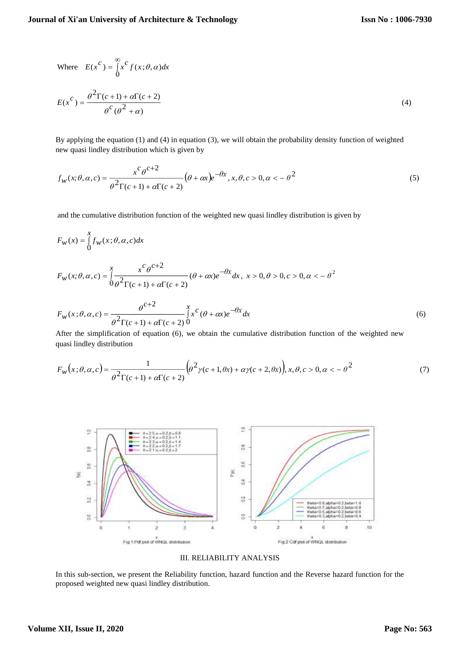Where 
$$
E(x^C) = \int_0^{\infty} x^C f(x;\theta,\alpha) dx
$$
  

$$
E(x^C) = \frac{\theta^2 \Gamma(c+1) + \alpha \Gamma(c+2)}{\theta^C (\theta^2 + \alpha)}
$$
(4)

By applying the equation (1) and (4) in equation (3), we will obtain the probability density function of weighted new quasi lindley distribution which is given by

$$
f_W(x; \theta, \alpha, c) = \frac{x^c \theta^{c+2}}{\theta^2 \Gamma(c+1) + \alpha \Gamma(c+2)} (\theta + \alpha x) e^{-\theta x}, x, \theta, c > 0, \alpha < -\theta^2
$$
\n<sup>(5)</sup>

and the cumulative distribution function of the weighted new quasi lindley distribution is given by

$$
F_W(x) = \int_0^x f_W(x;\theta,\alpha,c)dx
$$
  
\n
$$
F_W(x;\theta,\alpha,c) = \int_0^x \frac{x^c \theta^{c+2}}{\theta^2 \Gamma(c+1) + \alpha \Gamma(c+2)} (\theta + \alpha x) e^{-\theta x} dx, \ x > 0, \theta > 0, c > 0, \alpha < -\theta^2
$$

$$
F_w(x; \theta, \alpha, c) = \frac{\theta^{c+2}}{\theta^2 \Gamma(c+1) + \alpha \Gamma(c+2)} \int_0^x x^c (\theta + \alpha x) e^{-\theta x} dx
$$
\n(6)

After the simplification of equation (6), we obtain the cumulative distribution function of the weighted new quasi lindley distribution

$$
F_W(x;\theta,\alpha,c) = \frac{1}{\theta^2 \Gamma(c+1) + \alpha \Gamma(c+2)} \left( \theta^2 \gamma(c+1,\theta x) + \alpha \gamma(c+2,\theta x) \right), x, \theta, c > 0, \alpha < -\theta^2 \tag{7}
$$



III. RELIABILITY ANALYSIS

In this sub-section, we present the Reliability function, hazard function and the Reverse hazard function for the proposed weighted new quasi lindley distribution.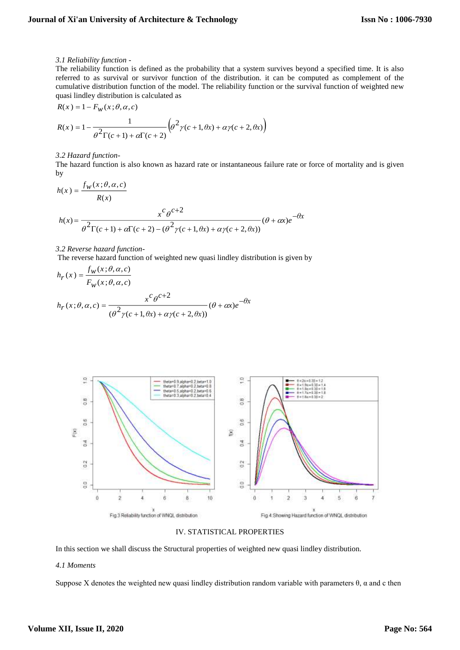#### *3.1 Reliability function -*

The reliability function is defined as the probability that a system survives beyond a specified time. It is also referred to as survival or survivor function of the distribution. it can be computed as complement of the cumulative distribution function of the model. The reliability function or the survival function of weighted new quasi lindley distribution is calculated as

$$
R(x) = 1 - F_W(x; \theta, \alpha, c)
$$

$$
R(x) = 1 - \frac{1}{\theta^2 \Gamma(c+1) + \alpha \Gamma(c+2)} \left( \theta^2 \gamma(c+1, \theta x) + \alpha \gamma(c+2, \theta x) \right)
$$

#### *3.2 Hazard function-*

The hazard function is also known as hazard rate or instantaneous failure rate or force of mortality and is given by

$$
h(x) = \frac{f_w(x; \theta, \alpha, c)}{R(x)}
$$

$$
h(x) = \frac{x^c \theta^{c+2}}{\theta^2 \Gamma(c+1) + \alpha \Gamma(c+2) - (\theta^2 \gamma(c+1, \theta x) + \alpha \gamma(c+2, \theta x))} (\theta + \alpha x) e^{-\theta x}
$$

#### *3.2 Reverse hazard function-*

The reverse hazard function of weighted new quasi lindley distribution is given by

$$
h_r(x) = \frac{f_w(x; \theta, \alpha, c)}{F_w(x; \theta, \alpha, c)}
$$
  

$$
h_r(x; \theta, \alpha, c) = \frac{x^c \theta^{c+2}}{(\theta^2 \gamma(c+1, \theta x) + \alpha \gamma(c+2, \theta x))} (\theta + \alpha x) e^{-\theta x}
$$





In this section we shall discuss the Structural properties of weighted new quasi lindley distribution.

#### *4.1 Moments*

Suppose X denotes the weighted new quasi lindley distribution random variable with parameters  $\theta$ ,  $\alpha$  and c then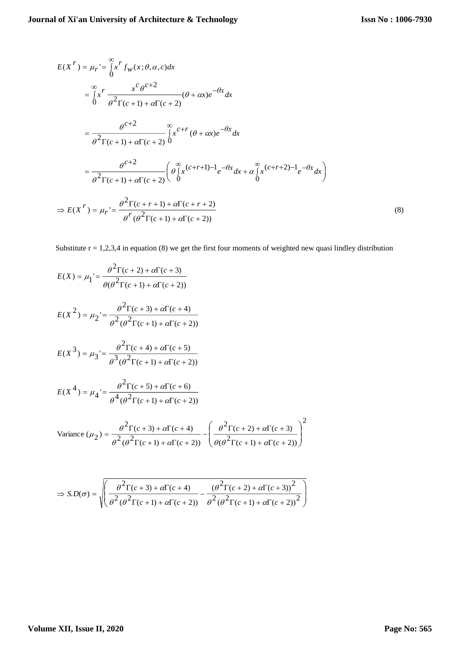$$
E(X^r) = \mu_r = \int_0^\infty x^r f_W(x;\theta,\alpha,c)dx
$$
  
\n
$$
= \int_0^\infty x^r \frac{x^c \theta^{c+2}}{\theta^2 \Gamma(c+1) + \alpha \Gamma(c+2)} (\theta + \alpha x) e^{-\theta x} dx
$$
  
\n
$$
= \frac{\theta^{c+2}}{\theta^2 \Gamma(c+1) + \alpha \Gamma(c+2)} \int_0^\infty x^{c+r} (\theta + \alpha x) e^{-\theta x} dx
$$
  
\n
$$
= \frac{\theta^{c+2}}{\theta^2 \Gamma(c+1) + \alpha \Gamma(c+2)} (\theta \int_0^\infty x^{c+r+1} e^{-\theta x} dx + \theta \int_0^\infty x^{c+r+2} e^{-\theta x} dx)
$$
  
\n
$$
\Rightarrow E(X^r) = \mu_r = \frac{\theta^2 \Gamma(c+r+1) + \alpha \Gamma(c+r+2)}{\theta^r (\theta^2 \Gamma(c+1) + \alpha \Gamma(c+2))}
$$
(8)

Substitute  $r = 1,2,3,4$  in equation (8) we get the first four moments of weighted new quasi lindley distribution

$$
E(X) = \mu_1 = \frac{\theta^2 \Gamma(c+2) + \alpha \Gamma(c+3)}{\theta(\theta^2 \Gamma(c+1) + \alpha \Gamma(c+2))}
$$

$$
E(X^{2}) = \mu_{2} = \frac{\theta^{2} \Gamma(c+3) + \alpha \Gamma(c+4)}{\theta^{2} (\theta^{2} \Gamma(c+1) + \alpha \Gamma(c+2))}
$$

$$
E(X^{3}) = \mu_{3} = \frac{\theta^{2} \Gamma(c+4) + \alpha \Gamma(c+5)}{\theta^{3} (\theta^{2} \Gamma(c+1) + \alpha \Gamma(c+2))}
$$

$$
E(X^{4}) = \mu_{4} = \frac{\theta^{2} \Gamma(c+5) + \alpha \Gamma(c+6)}{\theta^{4} (\theta^{2} \Gamma(c+1) + \alpha \Gamma(c+2))}
$$

Variance 
$$
(\mu_2)
$$
 =  $\frac{\theta^2 \Gamma(c+3) + \alpha \Gamma(c+4)}{\theta^2 (\theta^2 \Gamma(c+1) + \alpha \Gamma(c+2))} - \left(\frac{\theta^2 \Gamma(c+2) + \alpha \Gamma(c+3)}{\theta (\theta^2 \Gamma(c+1) + \alpha \Gamma(c+2))}\right)^2$ 

$$
\Rightarrow S.D(\sigma) = \sqrt{\left(\frac{\theta^2 \Gamma(c+3) + \alpha \Gamma(c+4)}{\theta^2 (\theta^2 \Gamma(c+1) + \alpha \Gamma(c+2))} - \frac{(\theta^2 \Gamma(c+2) + \alpha \Gamma(c+3))^2}{\theta^2 (\theta^2 \Gamma(c+1) + \alpha \Gamma(c+2))^2}\right)}
$$

# **Volume XII, Issue II, 2020**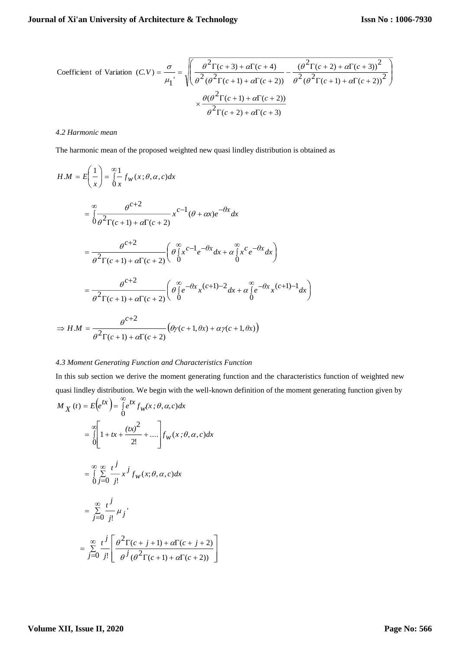Coefficient of Variation 
$$
(C.V)
$$
 =  $\frac{\sigma}{\mu_1}$  =  $\sqrt{\left(\frac{\theta^2 \Gamma(c+3) + \alpha \Gamma(c+4)}{\theta^2 (\theta^2 \Gamma(c+1) + \alpha \Gamma(c+2))} - \frac{(\theta^2 \Gamma(c+2) + \alpha \Gamma(c+3))^2}{\theta^2 (\theta^2 \Gamma(c+1) + \alpha \Gamma(c+2))}\right)^2}$   
  $\times \frac{\theta(\theta^2 \Gamma(c+1) + \alpha \Gamma(c+2))}{\theta^2 \Gamma(c+2) + \alpha \Gamma(c+3)}$ 

#### *4.2 Harmonic mean*

The harmonic mean of the proposed weighted new quasi lindley distribution is obtained as

$$
H.M = E\left(\frac{1}{x}\right) = \int_{0}^{\infty} \frac{1}{x} f_{w}(x;\theta,\alpha,c) dx
$$
  
\n
$$
= \int_{0}^{\infty} \frac{\theta^{c+2}}{\theta^{2} \Gamma(c+1) + \alpha \Gamma(c+2)} x^{c-1} (\theta + \alpha x) e^{-\theta x} dx
$$
  
\n
$$
= \frac{\theta^{c+2}}{\theta^{2} \Gamma(c+1) + \alpha \Gamma(c+2)} \left(\theta \int_{0}^{\infty} x^{c-1} e^{-\theta x} dx + \alpha \int_{0}^{\infty} x^{c} e^{-\theta x} dx\right)
$$
  
\n
$$
= \frac{\theta^{c+2}}{\theta^{2} \Gamma(c+1) + \alpha \Gamma(c+2)} \left(\theta \int_{0}^{\infty} e^{-\theta x} x^{(c+1)-2} dx + \alpha \int_{0}^{\infty} e^{-\theta x} x^{(c+1)-1} dx\right)
$$
  
\n
$$
\Rightarrow H.M = \frac{\theta^{c+2}}{\theta^{2} \Gamma(c+1) + \alpha \Gamma(c+2)} (\theta y(c+1, \theta x) + \alpha y(c+1, \theta x))
$$

## *4.3 Moment Generating Function and Characteristics Function*

In this sub section we derive the moment generating function and the characteristics function of weighted new quasi lindley distribution. We begin with the well-known definition of the moment generating function given by  $M_X(t) = E(e^{tx}) = \int_0^\infty e^{tx} f_w(x;\theta,\alpha,c) dx$  $\mathcal{L}(t) = E\left(e^{tx}\right) = \int_{0}^{\infty} e^{tx} f_{w}(x; \theta, \alpha)$  $=\int_{0}^{\infty} 1+tx+\frac{(tx)^{2}}{2!}+....$ l 1  $\mathsf{I}$  $\mathsf{I}$ L Г 0  $\frac{1}{2!} + \dots \left| f_W(x;\theta,\alpha,c) \right|$ 2  $1 + tx + \frac{(tx)^2}{ } + \dots \bigg| f_W(x;\theta,\alpha,c) dx$ ∞ ∞<br>∫∑ ᆖ  $= \int_{0}^{\infty} \sum_{j=0}^{\infty} x^{j} f_{W}(x; \theta, \alpha, c)$  $\sum_{j=0}^{\infty} \frac{t^2}{j!} x^j f_w(x; \theta, \alpha, c) dx$  $\frac{t^j}{x^j}$   $\int_{t_{\infty}}^t (x;\theta, \alpha)$  $\overset{\infty}{\Sigma}$  $=$  $=$   $\frac{2}{i=0}$  $\sum_{j=0}^{\infty} \frac{\mu_j}{j!} \mu_j$ *j t*  $\mu$ 

I

$$
= \sum_{j=0}^{\infty} \frac{t^j}{j!} \left[ \frac{\theta^2 \Gamma(c+j+1) + \alpha \Gamma(c+j+2)}{\theta^j (\theta^2 \Gamma(c+1) + \alpha \Gamma(c+2))} \right]
$$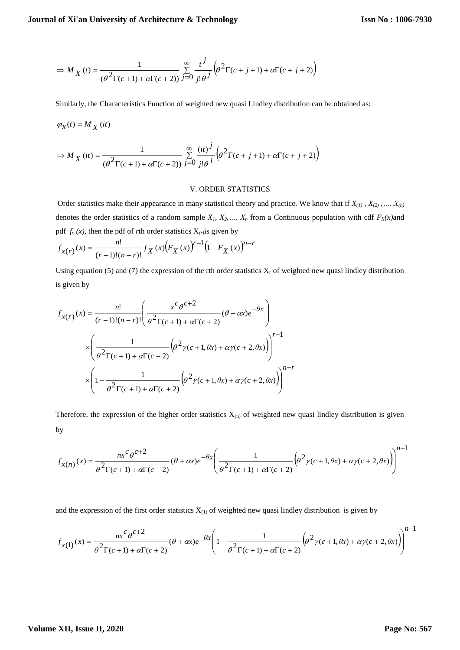$$
\Rightarrow M_X\left(t\right)=\frac{1}{\left(\theta^2\Gamma(c+1)+\alpha\Gamma(c+2)\right)}\sum_{j=0}^{\infty}\frac{t^j}{j!\theta^j}\left(\theta^2\Gamma(c+j+1)+\alpha\Gamma(c+j+2)\right)
$$

Similarly, the Characteristics Function of weighted new quasi Lindley distribution can be obtained as:

$$
\varphi_X(t) = M_X(it)
$$

$$
\Rightarrow M_X(it) = \frac{1}{(\theta^2 \Gamma(c+1) + \alpha \Gamma(c+2))} \sum_{j=0}^{\infty} \frac{(it)^j}{j!\theta^j} \left(\theta^2 \Gamma(c+j+1) + \alpha \Gamma(c+j+2)\right)
$$

## V. ORDER STATISTICS

Order statistics make their appearance in many statistical theory and practice. We know that if  $X_{(1)}$ ,  $X_{(2)}$ , ...,  $X_{(n)}$ denotes the order statistics of a random sample  $X_1, X_2, \ldots, X_n$  from a Continuous population with cdf  $F_X(x)$ and pdf  $f_x(x)$ , then the pdf of *r*th order statistics  $X_{(r)}$  is given by

$$
f_{X(r)}(x) = \frac{n!}{(r-1)!(n-r)!} f_X(x) (F_X(x))^{r-1} (1 - F_X(x))^{n-r}
$$

Using equation (5) and (7) the expression of the rth order statistics  $X_r$  of weighted new quasi lindley distribution is given by

$$
f_{X(r)}(x) = \frac{n!}{(r-1)!(n-r)!} \left( \frac{x^c \theta^{c+2}}{\theta^2 \Gamma(c+1) + \alpha \Gamma(c+2)} (\theta + \alpha x) e^{-\theta x} \right)
$$

$$
\times \left( \frac{1}{\theta^2 \Gamma(c+1) + \alpha \Gamma(c+2)} (\theta^2 \gamma(c+1, \theta x) + \alpha \gamma(c+2, \theta x)) \right)^{r-1}
$$

$$
\times \left( 1 - \frac{1}{\theta^2 \Gamma(c+1) + \alpha \Gamma(c+2)} (\theta^2 \gamma(c+1, \theta x) + \alpha \gamma(c+2, \theta x)) \right)^{n-r}
$$

Therefore, the expression of the higher order statistics  $X_{(n)}$  of weighted new quasi lindley distribution is given by

$$
f_{x(n)}(x) = \frac{nx^c \theta^{c+2}}{\theta^2 \Gamma(c+1) + \alpha \Gamma(c+2)} (\theta + \alpha x) e^{-\theta x} \left( \frac{1}{\theta^2 \Gamma(c+1) + \alpha \Gamma(c+2)} \left( \theta^2 \gamma(c+1, \theta x) + \alpha \gamma(c+2, \theta x) \right) \right)^{n-1}
$$

and the expression of the first order statistics  $X_{(1)}$  of weighted new quasi lindley distribution is given by

$$
f_{x(1)}(x) = \frac{nx^c \theta^{c+2}}{\theta^2 \Gamma(c+1) + \alpha \Gamma(c+2)} (\theta + \alpha x) e^{-\theta x} \left(1 - \frac{1}{\theta^2 \Gamma(c+1) + \alpha \Gamma(c+2)} (\theta^2 \gamma(c+1, \theta x) + \alpha \gamma(c+2, \theta x))\right)^{n-1}
$$

1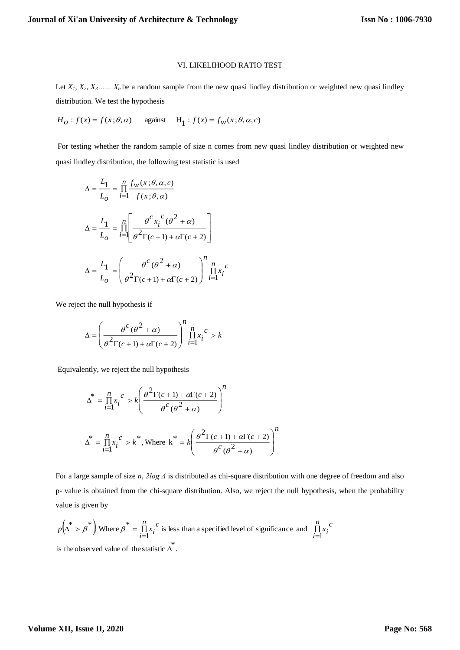#### VI. LIKELIHOOD RATIO TEST

Let  $X_1, X_2, X_3, \ldots, X_n$  be a random sample from the new quasi lindley distribution or weighted new quasi lindley distribution. We test the hypothesis

 $H_0$ :  $f(x) = f(x; \theta, \alpha)$  against  $H_1$ :  $f(x) = f_w(x; \theta, \alpha, c)$ 

For testing whether the random sample of size n comes from new quasi lindley distribution or weighted new quasi lindley distribution, the following test statistic is used

$$
\Delta = \frac{L_1}{L_o} = \prod_{i=1}^{n} \frac{f_w(x; \theta, \alpha, c)}{f(x; \theta, \alpha)}
$$

$$
\Delta = \frac{L_1}{L_o} = \prod_{i=1}^{n} \left[ \frac{\theta^c x_i^c (\theta^2 + \alpha)}{\theta^2 \Gamma(c + 1) + \alpha \Gamma(c + 2)} \right]
$$

$$
\Delta = \frac{L_1}{L_o} = \left( \frac{\theta^c (\theta^2 + \alpha)}{\theta^2 \Gamma(c + 1) + \alpha \Gamma(c + 2)} \right)^n \prod_{i=1}^{n} x_i^c
$$

We reject the null hypothesis if

$$
\Delta = \left(\frac{\theta^C(\theta^2 + \alpha)}{\theta^2 \Gamma(c+1) + \alpha \Gamma(c+2)}\right)^n \prod_{i=1}^n x_i^c > k
$$

Equivalently, we reject the null hypothesis

$$
\Delta^* = \prod_{i=1}^n x_i^c > k \left( \frac{\theta^2 \Gamma(c+1) + \alpha \Gamma(c+2)}{\theta^c (\theta^2 + \alpha)} \right)^n
$$
  

$$
\Delta^* = \prod_{i=1}^n x_i^c > k^*,
$$
 Where  $k^* = k \left( \frac{\theta^2 \Gamma(c+1) + \alpha \Gamma(c+2)}{\theta^c (\theta^2 + \alpha)} \right)^n$ 

For a large sample of size *n*, *2log Δ* is distributed as chi-square distribution with one degree of freedom and also p- value is obtained from the chi-square distribution. Also, we reject the null hypothesis, when the probability value is given by

$$
p(\Delta^* > \beta^*)
$$
 Where  $\beta^* = \prod_{i=1}^n x_i^c$  is less than a specified level of significance and  $\prod_{i=1}^n x_i^c$  is the observed value of the statistic  $\Delta^*$ .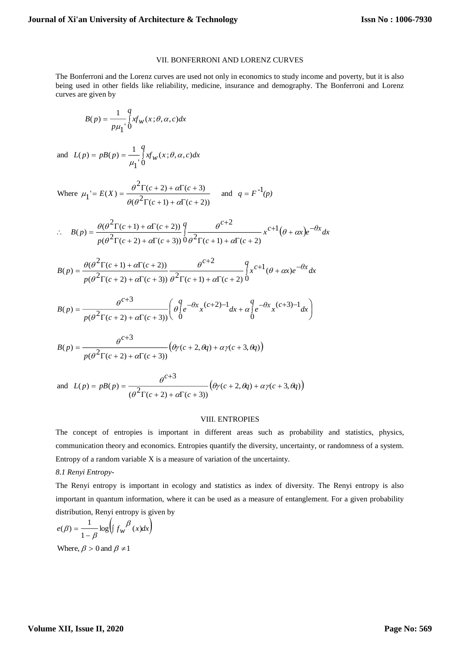#### VII. BONFERRONI AND LORENZ CURVES

The Bonferroni and the Lorenz curves are used not only in economics to study income and poverty, but it is also being used in other fields like reliability, medicine, insurance and demography. The Bonferroni and Lorenz curves are given by

$$
B(p) = \frac{1}{p\mu_1} \int_0^q x f_W(x;\theta,\alpha,c) dx
$$

and 
$$
L(p) = pB(p) = \frac{1}{\mu_1} \int_0^q xf_w(x;\theta,\alpha,c)dx
$$

Where 
$$
\mu_1 = E(X) = \frac{\theta^2 \Gamma(c+2) + \alpha \Gamma(c+3)}{\theta(\theta^2 \Gamma(c+1) + \alpha \Gamma(c+2))}
$$
 and  $q = F^{-1}(p)$ 

$$
\therefore B(p) = \frac{\theta(\theta^2 \Gamma(c+1) + \alpha \Gamma(c+2))}{p(\theta^2 \Gamma(c+2) + \alpha \Gamma(c+3))} \int_0^q \frac{\theta^{c+2}}{\theta^2 \Gamma(c+1) + \alpha \Gamma(c+2)} x^{c+1} (\theta + \alpha x) e^{-\theta x} dx
$$

$$
B(p) = \frac{\theta(\theta^2 \Gamma(c+1) + \alpha \Gamma(c+2))}{p(\theta^2 \Gamma(c+2) + \alpha \Gamma(c+3))} \frac{\theta^{c+2}}{\theta^2 \Gamma(c+1) + \alpha \Gamma(c+2)} \int_{0}^{q} x^{c+1} (\theta + \alpha x) e^{-\theta x} dx
$$

$$
B(p) = \frac{\theta^{c+3}}{p(\theta^2 \Gamma(c+2) + \alpha \Gamma(c+3))} \left( \begin{array}{c} q \\ \theta \int c^{-\theta x} x^{(c+2)-1} dx + \alpha \int c^{-\theta x} x^{(c+3)-1} dx \\ 0 \end{array} \right)
$$

$$
B(p) = \frac{\theta^{c+3}}{p(\theta^2 \Gamma(c+2) + \alpha \Gamma(c+3))} \left( \theta \gamma(c+2, \theta q) + \alpha \gamma(c+3, \theta q) \right)
$$

and 
$$
L(p) = pB(p) = \frac{\theta^{c+3}}{(\theta^2 \Gamma(c+2) + \alpha \Gamma(c+3))} (\theta \gamma(c+2, \theta q) + \alpha \gamma(c+3, \theta q))
$$

#### VIII. ENTROPIES

The concept of entropies is important in different areas such as probability and statistics, physics, communication theory and economics. Entropies quantify the diversity, uncertainty, or randomness of a system. Entropy of a random variable X is a measure of variation of the uncertainty.

# *8.1 Renyi Entropy-*

The Renyi entropy is important in ecology and statistics as index of diversity. The Renyi entropy is also important in quantum information, where it can be used as a measure of entanglement. For a given probability distribution, Renyi entropy is given by

$$
e(\beta) = \frac{1}{1 - \beta} \log \left( \int f_{w}^{\beta} (x) dx \right)
$$
  
Where,  $\beta > 0$  and  $\beta \neq 1$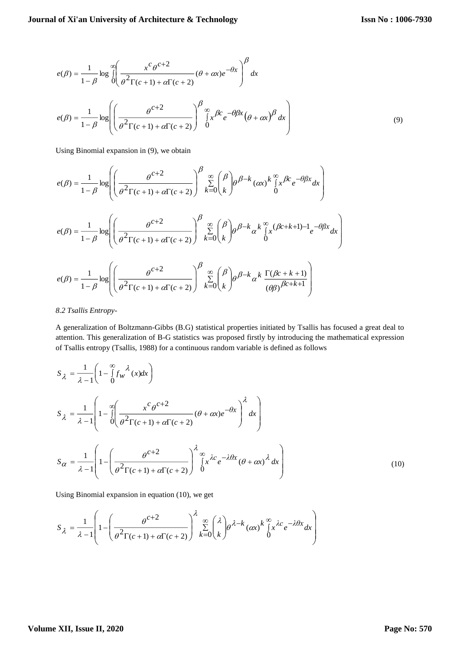$$
e(\beta) = \frac{1}{1-\beta} \log \int_{0}^{\infty} \left( \frac{x^c \theta^{c+2}}{\theta^2 \Gamma(c+1) + \alpha \Gamma(c+2)} (\theta + \alpha x) e^{-\theta x} \right)^{\beta} dx
$$

$$
e(\beta) = \frac{1}{1-\beta} \log \left( \left( \frac{\theta^{c+2}}{\theta^2 \Gamma(c+1) + \alpha \Gamma(c+2)} \right)^{\beta} \int_{0}^{\infty} x^{\beta} e^{-\theta \beta x} (\theta + \alpha x)^{\beta} dx \right)
$$
(9)

Using Binomial expansion in (9), we obtain

$$
e(\beta) = \frac{1}{1-\beta} \log \left( \left( \frac{\theta^{c+2}}{\theta^2 \Gamma(c+1) + \alpha \Gamma(c+2)} \right)^{\beta} \sum_{k=0}^{\infty} {\binom{\beta}{k}} \theta^{\beta-k} (\alpha x)^k \int_{0}^{\infty} x^{\beta c} e^{-\theta \beta x} dx \right)
$$
  

$$
e(\beta) = \frac{1}{1-\beta} \log \left( \left( \frac{\theta^{c+2}}{\theta^2 \Gamma(c+1) + \alpha \Gamma(c+2)} \right)^{\beta} \sum_{k=0}^{\infty} {\binom{\beta}{k}} \theta^{\beta-k} \alpha^k \int_{0}^{\infty} (\beta c+k+1) - 1 \ e^{-\theta \beta x} dx \right)
$$
  

$$
e(\beta) = \frac{1}{1-\beta} \log \left( \left( \frac{\theta^{c+2}}{\theta^2 \Gamma(c+1) + \alpha \Gamma(c+2)} \right)^{\beta} \sum_{k=0}^{\infty} {\binom{\beta}{k}} \theta^{\beta-k} \alpha^k \frac{\Gamma(\beta c+k+1)}{(\theta \beta)^{\beta c+k+1}} \right)
$$

## *8.2 Tsallis Entropy-*

A generalization of Boltzmann-Gibbs (B.G) statistical properties initiated by Tsallis has focused a great deal to attention. This generalization of B-G statistics was proposed firstly by introducing the mathematical expression of Tsallis entropy (Tsallis, 1988) for a continuous random variable is defined as follows

$$
S_{\lambda} = \frac{1}{\lambda - 1} \left( 1 - \int_{0}^{\infty} f_{w}^{\lambda}(x) dx \right)
$$
  
\n
$$
S_{\lambda} = \frac{1}{\lambda - 1} \left( 1 - \int_{0}^{\infty} \left( \frac{x^{c} \theta^{c+2}}{\theta^{2} \Gamma(c+1) + \alpha \Gamma(c+2)} (\theta + \alpha x) e^{-\theta x} \right)^{\lambda} dx \right)
$$
  
\n
$$
S_{\alpha} = \frac{1}{\lambda - 1} \left( 1 - \left( \frac{\theta^{c+2}}{\theta^{2} \Gamma(c+1) + \alpha \Gamma(c+2)} \right)^{\lambda} \int_{0}^{\infty} x^{\lambda c} e^{-\lambda \theta x} (\theta + \alpha x)^{\lambda} dx \right)
$$
\n(10)

Using Binomial expansion in equation (10), we get

$$
S_{\lambda} = \frac{1}{\lambda - 1} \left( 1 - \left( \frac{\theta^{c+2}}{\theta^2 \Gamma(c+1) + \alpha \Gamma(c+2)} \right)^{\lambda} \sum_{k=0}^{\infty} {\lambda \choose k} \theta^{\lambda - k} (\alpha x)^k \int_{0}^{\infty} x^{\lambda c} e^{-\lambda \theta x} dx \right)
$$

## **Volume XII, Issue II, 2020**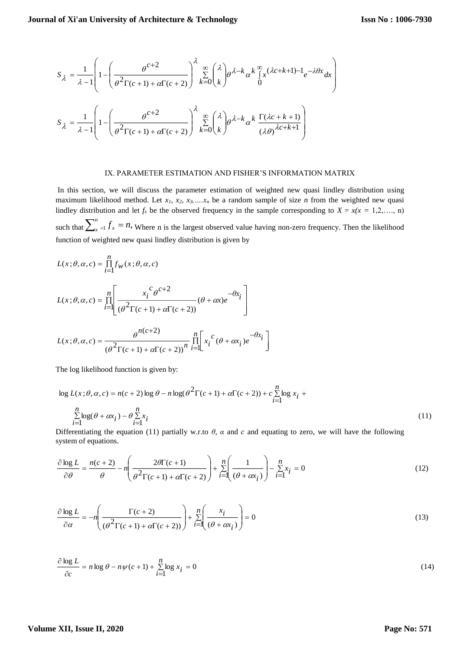$$
S_{\lambda} = \frac{1}{\lambda - 1} \left( 1 - \left( \frac{\theta^{c+2}}{\theta^2 \Gamma(c+1) + \alpha \Gamma(c+2)} \right)^{\lambda} \sum_{k=0}^{\infty} {\lambda \choose k} \theta^{\lambda - k} \alpha^k \int_0^{\infty} x^{(\lambda c + k + 1) - 1} e^{-\lambda \theta x} dx \right)
$$
  

$$
S_{\lambda} = \frac{1}{\lambda - 1} \left( 1 - \left( \frac{\theta^{c+2}}{\theta^2 \Gamma(c+1) + \alpha \Gamma(c+2)} \right)^{\lambda} \sum_{k=0}^{\infty} {\lambda \choose k} \theta^{\lambda - k} \alpha^k \frac{\Gamma(\lambda c + k + 1)}{(\lambda \theta)^{\lambda c + k + 1}} \right)
$$

#### IX. PARAMETER ESTIMATION AND FISHER'S INFORMATION MATRIX

In this section, we will discuss the parameter estimation of weighted new quasi lindley distribution using maximum likelihood method. Let  $x_1$ ,  $x_2$ ,  $x_3$ , ..., $x_n$  be a random sample of size *n* from the weighted new quasi lindley distribution and let  $f_x$  be the observed frequency in the sample corresponding to  $X = x(x = 1,2,..., n)$ such that  $\sum_{x=1}^{n} f_x = n$ , Where n is the largest observed value having non-zero frequency. Then the likelihood function of weighted new quasi lindley distribution is given by

$$
L(x; \theta, \alpha, c) = \prod_{i=1}^{n} f_w(x; \theta, \alpha, c)
$$
  

$$
L(x; \theta, \alpha, c) = \prod_{i=1}^{n} \left[ \frac{x_i^c \theta^{c+2}}{(\theta^2 \Gamma(c+1) + \alpha \Gamma(c+2))} (\theta + \alpha x) e^{-\theta x} i \right]
$$
  

$$
L(x; \theta, \alpha, c) = \frac{\theta^{n(c+2)}}{(\theta^2 \Gamma(c+1) + \alpha \Gamma(c+2))} \prod_{i=1}^{n} x_i^c (\theta + \alpha x_i) e^{-\theta x} i
$$

The log likelihood function is given by:

$$
\log L(x; \theta, \alpha, c) = n(c+2) \log \theta - n \log(\theta^2 \Gamma(c+1) + \alpha \Gamma(c+2)) + c \sum_{i=1}^{n} \log x_i + \sum_{i=1}^{n} \log(\theta + \alpha x_i) - \theta \sum_{i=1}^{n} x_i
$$
\n(11)

Differentiating the equation (11) partially w.r.to  $\theta$ ,  $\alpha$  and  $c$  and equating to zero, we will have the following system of equations.

$$
\frac{\partial \log L}{\partial \theta} = \frac{n(c+2)}{\theta} - n \left( \frac{2\theta \Gamma(c+1)}{\theta^2 \Gamma(c+1) + \alpha \Gamma(c+2)} \right) + \sum_{i=1}^{n} \left( \frac{1}{(\theta + \alpha x_i)} \right) - \sum_{i=1}^{n} x_i = 0
$$
\n(12)

$$
\frac{\partial \log L}{\partial \alpha} = -n \left( \frac{\Gamma(c+2)}{(\theta^2 \Gamma(c+1) + \alpha \Gamma(c+2))} \right) + \sum_{i=1}^{n} \left( \frac{x_i}{(\theta + \alpha x_i)} \right) = 0
$$
\n(13)

$$
\frac{\partial \log L}{\partial c} = n \log \theta - n\psi(c+1) + \sum_{i=1}^{n} \log x_i = 0
$$
\n(14)

# **Volume XII, Issue II, 2020**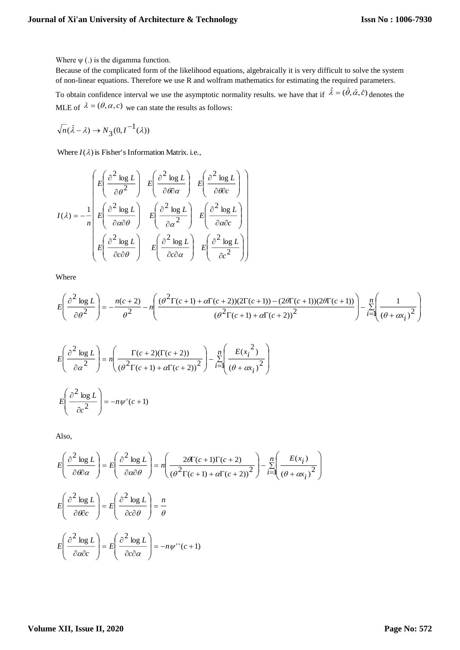Where  $\psi$  (.) is the digamma function.

Because of the complicated form of the likelihood equations, algebraically it is very difficult to solve the system of non-linear equations. Therefore we use R and wolfram mathematics for estimating the required parameters.

To obtain confidence interval we use the asymptotic normality results, we have that if  $\hat{\lambda} = (\hat{\theta}, \hat{\alpha}, \hat{c})$  denotes the MLE of  $\lambda = (\theta, \alpha, c)$  we can state the results as follows:

$$
\sqrt{n}(\hat{\lambda} - \lambda) \to N_3(0, I^{-1}(\lambda))
$$

Where  $I(\lambda)$  is Fisher's Information Matrix. i.e.,

$$
I(\lambda) = -\frac{1}{n} \begin{bmatrix} E \left( \frac{\partial^2 \log L}{\partial \theta^2} \right) & E \left( \frac{\partial^2 \log L}{\partial \theta \partial \alpha} \right) & E \left( \frac{\partial^2 \log L}{\partial \theta \partial c} \right) \\ E \left( \frac{\partial^2 \log L}{\partial \alpha \partial \theta} \right) & E \left( \frac{\partial^2 \log L}{\partial \alpha^2} \right) & E \left( \frac{\partial^2 \log L}{\partial \alpha \partial c} \right) \\ E \left( \frac{\partial^2 \log L}{\partial c \partial \theta} \right) & E \left( \frac{\partial^2 \log L}{\partial c \partial \alpha} \right) & E \left( \frac{\partial^2 \log L}{\partial c^2} \right) \end{bmatrix}
$$

Where

$$
E\left(\frac{\partial^2 \log L}{\partial \theta^2}\right) = -\frac{n(c+2)}{\theta^2} - n \left(\frac{(\theta^2 \Gamma(c+1) + \alpha \Gamma(c+2))(2\Gamma(c+1)) - (2\theta \Gamma(c+1))(2\theta \Gamma(c+1))}{(\theta^2 \Gamma(c+1) + \alpha \Gamma(c+2))^2}\right) - \sum_{i=1}^n \left(\frac{1}{(\theta + \alpha x_i)^2}\right)^2
$$

$$
E\left(\frac{\partial^2 \log L}{\partial \alpha^2}\right) = n\left(\frac{\Gamma(c+2)(\Gamma(c+2))}{(\theta^2 \Gamma(c+1) + \alpha \Gamma(c+2))^2}\right) - \sum_{i=1}^n \left(\frac{E(x_i^2)}{(\theta + \alpha x_i)^2}\right)
$$

$$
E\left(\frac{\partial^2 \log L}{\partial c^2}\right) = -n\psi'(c+1)
$$

Also,

$$
E\left(\frac{\partial^2 \log L}{\partial \theta \partial \alpha}\right) = E\left(\frac{\partial^2 \log L}{\partial \alpha \partial \theta}\right) = n\left(\frac{2\theta \Gamma(c+1)\Gamma(c+2)}{(\theta^2 \Gamma(c+1) + \alpha \Gamma(c+2))^2}\right) - \sum_{i=1}^n \left(\frac{E(x_i)}{(\theta + \alpha x_i)^2}\right)
$$

$$
E\left(\frac{\partial^2 \log L}{\partial \theta \partial c}\right) = E\left(\frac{\partial^2 \log L}{\partial c \partial \theta}\right) = \frac{n}{\theta}
$$

$$
E\left(\frac{\partial^2 \log L}{\partial \alpha \partial c}\right) = E\left(\frac{\partial^2 \log L}{\partial c \partial \alpha}\right) = -n\psi''(c+1)
$$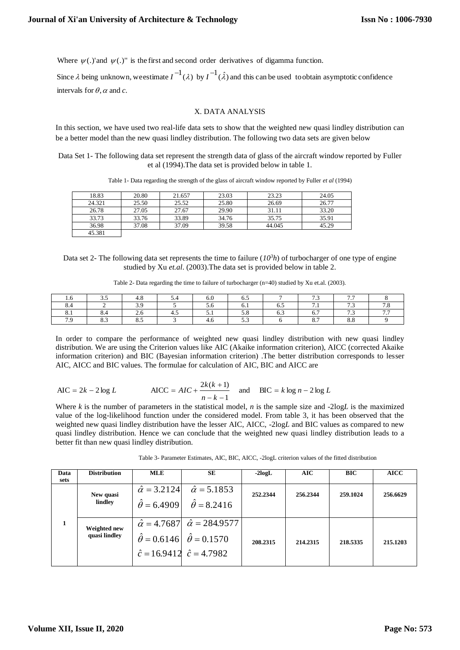Where  $\psi(.)'$  and  $\psi(.)''$  is the first and second order derivatives of digamma function.

intervals for  $\theta$ ,  $\alpha$  and  $c$ . Since  $\lambda$  being unknown, we estimate  $I^{-1}(\lambda)$  by  $I^{-1}(\hat{\lambda})$  and this can be used to obtain asymptotic confidence

#### X. DATA ANALYSIS

In this section, we have used two real-life data sets to show that the weighted new quasi lindley distribution can be a better model than the new quasi lindley distribution. The following two data sets are given below

Data Set 1- The following data set represent the strength data of glass of the aircraft window reported by Fuller et al (1994).The data set is provided below in table 1.

Table 1- Data regarding the strength of the glass of aircraft window reported by Fuller *et al* (1994)

| 18.83  | 20.80 | 21.657 | 23.03 | 23.23  | 24.05 |
|--------|-------|--------|-------|--------|-------|
| 24.321 | 25.50 | 25.52  | 25.80 | 26.69  | 26.77 |
| 26.78  | 27.05 | 27.67  | 29.90 | 31.11  | 33.20 |
| 33.73  | 33.76 | 33.89  | 34.76 | 35.75  | 35.91 |
| 36.98  | 37.08 | 37.09  | 39.58 | 44.045 | 45.29 |
| 45.381 |       |        |       |        |       |

Data set 2- The following data set represents the time to failure  $(I\partial^3 h)$  of turbocharger of one type of engine studied by Xu *et.al*. (2003).The data set is provided below in table 2.

Table 2- Data regarding the time to failure of turbocharger (n=40) studied by Xu et.al. (2003).

| $\cdot$                | ن. ب |               |    |      | ິ   |          | $\sim$ $\sim$<br>سم           | $\sim$ $\sim$      |               |
|------------------------|------|---------------|----|------|-----|----------|-------------------------------|--------------------|---------------|
| $\sim$<br>$\mathbf{u}$ |      | $\sim$ $\sim$ |    | ں ر  | v.i | $\cup$ . | $\overline{\phantom{0}}$<br>. | $\sim$ $\sim$<br>ر |               |
| $\mathbf{0.1}$         |      | <u>.</u>      | т. | .    | J.V | ∪.⊃      |                               | ر                  | $\sim$ $\sim$ |
| $\sim$ $\sim$          | ິ    | ິ             |    | т. с | ັ້  |          |                               | υ.υ                |               |

In order to compare the performance of weighted new quasi lindley distribution with new quasi lindley distribution. We are using the Criterion values like AIC (Akaike information criterion), AICC (corrected Akaike information criterion) and BIC (Bayesian information criterion) .The better distribution corresponds to lesser AIC, AICC and BIC values. The formulae for calculation of AIC, BIC and AICC are

$$
AIC = 2k - 2 \log L
$$
 
$$
AICC = AIC + \frac{2k(k+1)}{n-k-1}
$$
 and 
$$
BIC = k \log n - 2 \log L
$$

Where *k* is the number of parameters in the statistical model, *n* is the sample size and -2log*L* is the maximized value of the log-likelihood function under the considered model. From table 3, it has been observed that the weighted new quasi lindley distribution have the lesser AIC, AICC, -2log*L* and BIC values as compared to new quasi lindley distribution. Hence we can conclude that the weighted new quasi lindley distribution leads to a better fit than new quasi lindley distribution.

| Data | <b>Distribution</b> | MLE                     | SЕ                                                | $-2logL$ | AIC      | <b>BIC</b> | <b>AICC</b> |
|------|---------------------|-------------------------|---------------------------------------------------|----------|----------|------------|-------------|
| sets |                     |                         |                                                   |          |          |            |             |
|      | New quasi           | $\hat{\alpha} = 3.2124$ | $\hat{\alpha} = 5.1853$                           | 252.2344 | 256.2344 | 259.1024   | 256.6629    |
|      | lindley             | $\hat{\theta} = 6.4909$ | $\hat{\theta} = 8.2416$                           |          |          |            |             |
|      | Weighted new        |                         | $\hat{\alpha} = 4.7687$ $\hat{\alpha} = 284.9577$ |          |          |            |             |
|      | quasi lindley       |                         | $\hat{\theta} = 0.6146 \hat{\theta} = 0.1570$     | 208.2315 | 214.2315 | 218.5335   | 215.1203    |
|      |                     |                         | $\hat{c} = 16.9412 \quad \hat{c} = 4.7982$        |          |          |            |             |
|      |                     |                         |                                                   |          |          |            |             |

Table 3- Parameter Estimates, AIC, BIC, AICC, -2logL criterion values of the fitted distribution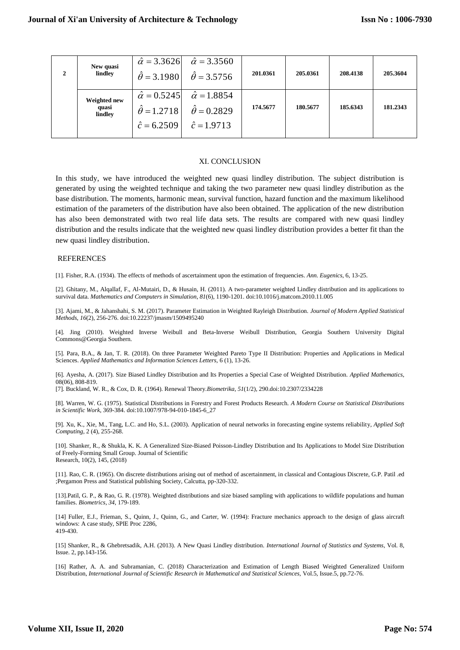| $\mathbf{2}$ | New quasi<br>lindley             | $\hat{\alpha} = 3.3626$<br>$\hat{\theta} = 3.1980$                       | $\hat{\alpha} = 3.3560$<br>$\hat{\theta} = 3.5756$                       | 201.0361 | 205.0361 | 208.4138 | 205.3604 |
|--------------|----------------------------------|--------------------------------------------------------------------------|--------------------------------------------------------------------------|----------|----------|----------|----------|
|              | Weighted new<br>quasi<br>lindley | $\hat{\alpha} = 0.5245$<br>$\hat{\theta} = 1.2718$<br>$\hat{c} = 6.2509$ | $\hat{\alpha} = 1.8854$<br>$\hat{\theta} = 0.2829$<br>$\hat{c} = 1.9713$ | 174.5677 | 180.5677 | 185.6343 | 181.2343 |

#### XI. CONCLUSION

In this study, we have introduced the weighted new quasi lindley distribution. The subject distribution is generated by using the weighted technique and taking the two parameter new quasi lindley distribution as the base distribution. The moments, harmonic mean, survival function, hazard function and the maximum likelihood estimation of the parameters of the distribution have also been obtained. The application of the new distribution has also been demonstrated with two real life data sets. The results are compared with new quasi lindley distribution and the results indicate that the weighted new quasi lindley distribution provides a better fit than the new quasi lindley distribution.

#### **REFERENCES**

[1]. Fisher, R.A. (1934). The effects of methods of ascertainment upon the estimation of frequencies. *Ann. Eugenics*, 6, 13-25.

[2]. Ghitany, M., Alqallaf, F., Al-Mutairi, D., & Husain, H. (2011). A two-parameter weighted Lindley distribution and its applications to survival data. *Mathematics and Computers in Simulation*, *81*(6), 1190-1201. doi:10.1016/j.matcom.2010.11.005

[3]. Ajami, M., & Jahanshahi, S. M. (2017). Parameter Estimation in Weighted Rayleigh Distribution. *Journal of Modern Applied Statistical Methods*, *16*(2), 256-276. doi:10.22237/jmasm/1509495240

[4]. Jing (2010). Weighted Inverse Weibull and Beta-Inverse Weibull Distribution, Georgia Southern University Digital Commons@Georgia Southern.

[5]. Para, B.A., & Jan, T. R. (2018). On three Parameter Weighted Pareto Type II Distribution: Properties and Applications in Medical Sciences. *Applied Mathematics and Information Sciences Letters,* 6 (1), 13-26.

[6]. Ayesha, A. (2017). Size Biased Lindley Distribution and Its Properties a Special Case of Weighted Distribution. *Applied Mathematics*, 08(06), 808-819.

[7]. Buckland, W. R., & Cox, D. R. (1964). Renewal Theory.*Biometrika*, *51*(1/2), 290.doi:10.2307/2334228

[8]. Warren, W. G. (1975). Statistical Distributions in Forestry and Forest Products Research. *A Modern Course on Statistical Distributions in Scientific Work*, 369-384. doi:10.1007/978-94-010-1845-6\_27

[9]. Xu, K., Xie, M., Tang, L.C. and Ho, S.L. (2003). Application of neural networks in forecasting engine systems reliability, *Applied Soft Computing*, 2 (4), 255-268.

[10]. Shanker, R., & Shukla, K. K. A Generalized Size-Biased Poisson-Lindley Distribution and Its Applications to Model Size Distribution of Freely-Forming Small Group. Journal of Scientific Research, 10(2), 145, (2018)

[11]. Rao, C. R. (1965). On discrete distributions arising out of method of ascertainment, in classical and Contagious Discrete, G.P. Patil .ed ;Pergamon Press and Statistical publishing Society, Calcutta, pp-320-332.

[13].Patil, G. P., & Rao, G. R. (1978). Weighted distributions and size biased sampling with applications to wildlife populations and human families. *Biometrics, 34*, 179-189.

[14] Fuller, E.J., Frieman, S., Quinn, J., Quinn, G., and Carter, W. (1994): Fracture mechanics approach to the design of glass aircraft windows: A case study, SPIE Proc 2286, 419-430.

[15] Shanker, R., & Ghebretsadik, A.H. (2013). A New Quasi Lindley distribution. *International Journal of Statistics and Systems*, Vol. 8, Issue. 2, pp.143-156.

[16] Rather, A. A. and Subramanian*,* C. (2018) Characterization and Estimation of Length Biased Weighted Generalized Uniform Distribution, *International Journal of Scientific Research in Mathematical and Statistical Sciences,* Vol.5, Issue.5, pp.72-76.